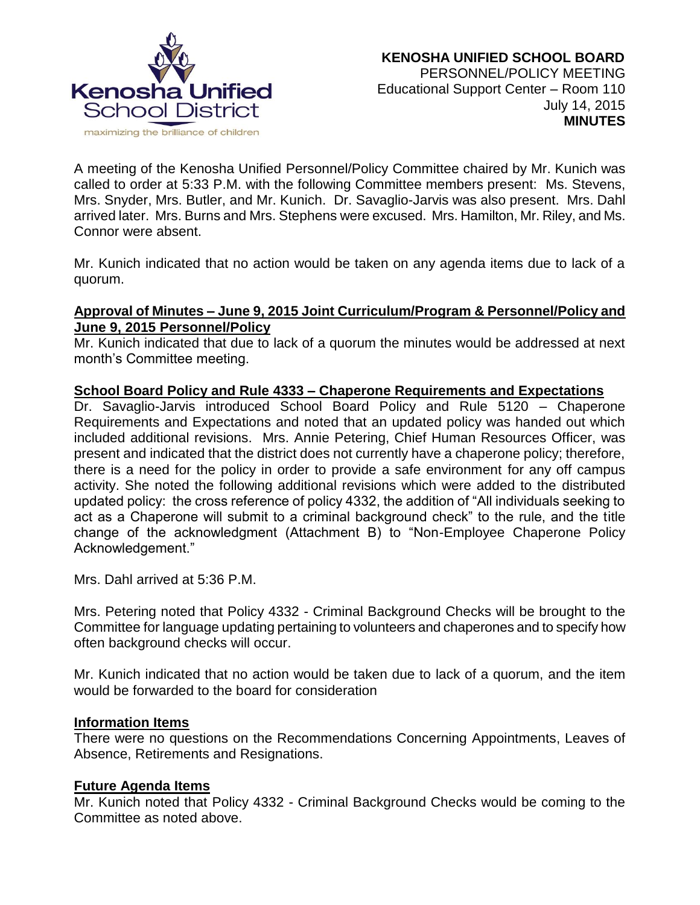

A meeting of the Kenosha Unified Personnel/Policy Committee chaired by Mr. Kunich was called to order at 5:33 P.M. with the following Committee members present: Ms. Stevens, Mrs. Snyder, Mrs. Butler, and Mr. Kunich. Dr. Savaglio-Jarvis was also present. Mrs. Dahl arrived later. Mrs. Burns and Mrs. Stephens were excused. Mrs. Hamilton, Mr. Riley, and Ms. Connor were absent.

Mr. Kunich indicated that no action would be taken on any agenda items due to lack of a quorum.

# **Approval of Minutes – June 9, 2015 Joint Curriculum/Program & Personnel/Policy and June 9, 2015 Personnel/Policy**

Mr. Kunich indicated that due to lack of a quorum the minutes would be addressed at next month's Committee meeting.

# **School Board Policy and Rule 4333 – Chaperone Requirements and Expectations**

Dr. Savaglio-Jarvis introduced School Board Policy and Rule 5120 – Chaperone Requirements and Expectations and noted that an updated policy was handed out which included additional revisions. Mrs. Annie Petering, Chief Human Resources Officer, was present and indicated that the district does not currently have a chaperone policy; therefore, there is a need for the policy in order to provide a safe environment for any off campus activity. She noted the following additional revisions which were added to the distributed updated policy: the cross reference of policy 4332, the addition of "All individuals seeking to act as a Chaperone will submit to a criminal background check" to the rule, and the title change of the acknowledgment (Attachment B) to "Non-Employee Chaperone Policy Acknowledgement."

Mrs. Dahl arrived at 5:36 P.M.

Mrs. Petering noted that Policy 4332 - Criminal Background Checks will be brought to the Committee for language updating pertaining to volunteers and chaperones and to specify how often background checks will occur.

Mr. Kunich indicated that no action would be taken due to lack of a quorum, and the item would be forwarded to the board for consideration

# **Information Items**

There were no questions on the Recommendations Concerning Appointments, Leaves of Absence, Retirements and Resignations.

# **Future Agenda Items**

Mr. Kunich noted that Policy 4332 - Criminal Background Checks would be coming to the Committee as noted above.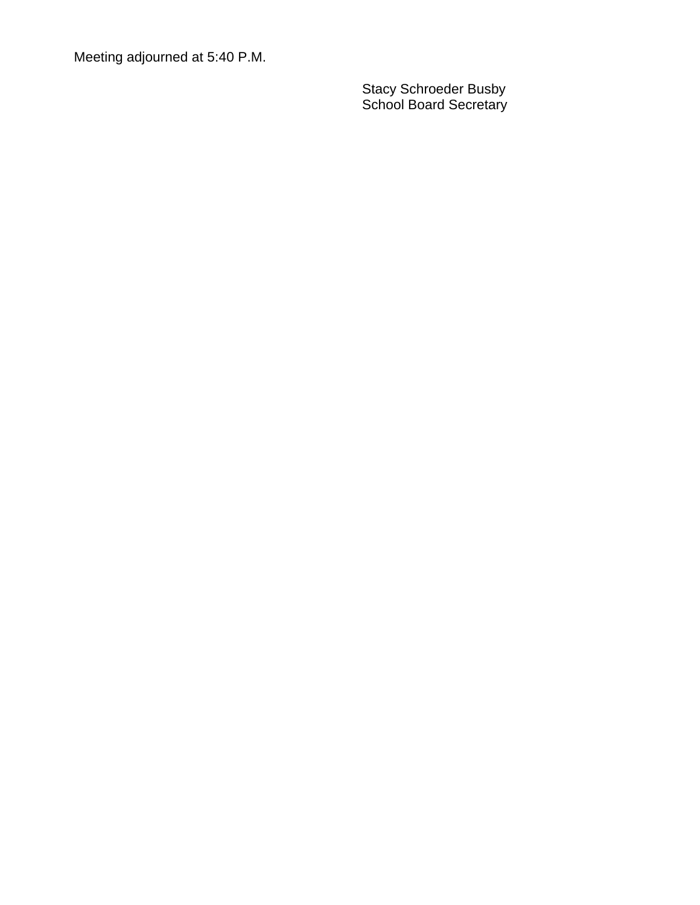Meeting adjourned at 5:40 P.M.

Stacy Schroeder Busby School Board Secretary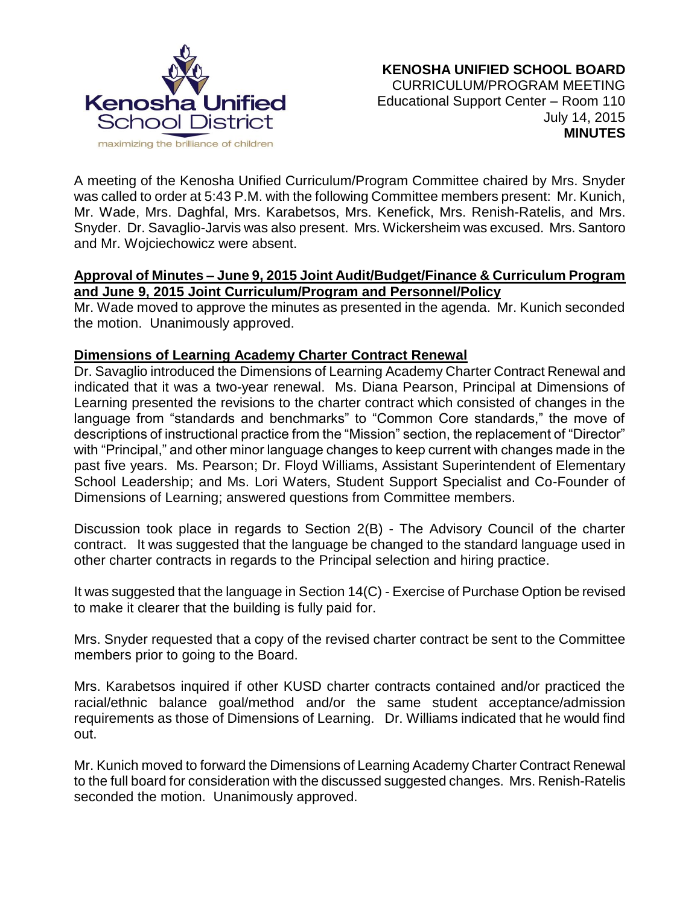

A meeting of the Kenosha Unified Curriculum/Program Committee chaired by Mrs. Snyder was called to order at 5:43 P.M. with the following Committee members present: Mr. Kunich, Mr. Wade, Mrs. Daghfal, Mrs. Karabetsos, Mrs. Kenefick, Mrs. Renish-Ratelis, and Mrs. Snyder. Dr. Savaglio-Jarvis was also present. Mrs. Wickersheim was excused. Mrs. Santoro and Mr. Wojciechowicz were absent.

# **Approval of Minutes – June 9, 2015 Joint Audit/Budget/Finance & Curriculum Program and June 9, 2015 Joint Curriculum/Program and Personnel/Policy**

Mr. Wade moved to approve the minutes as presented in the agenda. Mr. Kunich seconded the motion. Unanimously approved.

# **Dimensions of Learning Academy Charter Contract Renewal**

Dr. Savaglio introduced the Dimensions of Learning Academy Charter Contract Renewal and indicated that it was a two-year renewal. Ms. Diana Pearson, Principal at Dimensions of Learning presented the revisions to the charter contract which consisted of changes in the language from "standards and benchmarks" to "Common Core standards," the move of descriptions of instructional practice from the "Mission" section, the replacement of "Director" with "Principal," and other minor language changes to keep current with changes made in the past five years. Ms. Pearson; Dr. Floyd Williams, Assistant Superintendent of Elementary School Leadership; and Ms. Lori Waters, Student Support Specialist and Co-Founder of Dimensions of Learning; answered questions from Committee members.

Discussion took place in regards to Section 2(B) - The Advisory Council of the charter contract. It was suggested that the language be changed to the standard language used in other charter contracts in regards to the Principal selection and hiring practice.

It was suggested that the language in Section 14(C) - Exercise of Purchase Option be revised to make it clearer that the building is fully paid for.

Mrs. Snyder requested that a copy of the revised charter contract be sent to the Committee members prior to going to the Board.

Mrs. Karabetsos inquired if other KUSD charter contracts contained and/or practiced the racial/ethnic balance goal/method and/or the same student acceptance/admission requirements as those of Dimensions of Learning. Dr. Williams indicated that he would find out.

Mr. Kunich moved to forward the Dimensions of Learning Academy Charter Contract Renewal to the full board for consideration with the discussed suggested changes. Mrs. Renish-Ratelis seconded the motion. Unanimously approved.